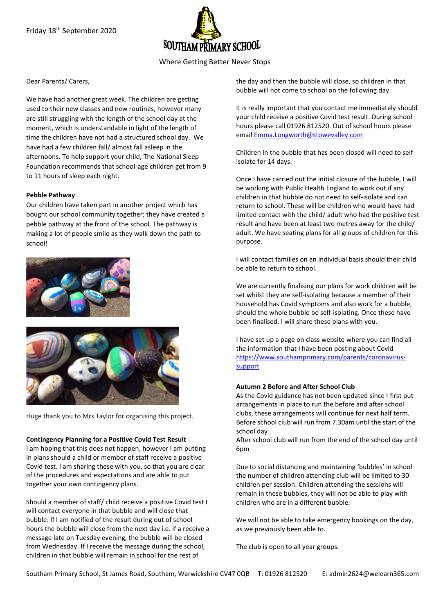

## Where Getting Better Never Stops

#### Dear Parents/ Carers,

We have had another great week. The children are getting used to their new classes and new routines, however many are still struggling with the length of the school day at the moment, which is understandable in light of the length of time the children have not had a structured school day. We have had a few children fall/ almost fall asleep in the afternoons. To help support your child, The National Sleep Foundation recommends that school-age children get from 9 to 11 hours of sleep each night.

#### **Pebble Pathway**

Our children have taken part in another project which has bought our school community together; they have created a pebble pathway at the front of the school. The pathway is making a lot of people smile as they walk down the path to school!





Huge thank you to Mrs Taylor for organising this project.

#### **Contingency Planning for a Positive Covid Test Result**

I am hoping that this does not happen, however I am putting in plans should a child or member of staff receive a positive Covid test. I am sharing these with you, so that you are clear of the procedures and expectations and are able to put together your own contingency plans.

Should a member of staff/ child receive a positive Covid test I will contact everyone in that bubble and will close that bubble. If I am notified of the result during out of school hours the bubble will close from the next day i.e. if a receive a message late on Tuesday evening, the bubble will be closed from Wednesday. If I receive the message during the school, children in that bubble will remain in school for the rest of

the day and then the bubble will close, so children in that bubble will not come to school on the following day.

It is really important that you contact me immediately should your child receive a positive Covid test result. During school hours please call 01926 812520. Out of school hours please emai[l Emma.Longworth@stowevalley.com](mailto:Emma.Longworth@stowevalley.com)

Children in the bubble that has been closed will need to selfisolate for 14 days.

Once I have carried out the initial closure of the bubble, I will be working with Public Health England to work out if any children in that bubble do not need to self-isolate and can return to school. These will be children who would have had limited contact with the child/ adult who had the positive test result and have been at least two metres away for the child/ adult. We have seating plans for all groups of children for this purpose.

I will contact families on an individual basis should their child be able to return to school.

We are currently finalising our plans for work children will be set whilst they are self-isolating because a member of their household has Covid symptoms and also work for a bubble, should the whole bubble be self-isolating. Once these have been finalised, I will share these plans with you.

I have set up a page on class website where you can find all the information that I have been posting about Covid [https://www.southamprimary.com/parents/coronavirus](https://www.southamprimary.com/parents/coronavirus-support)[support](https://www.southamprimary.com/parents/coronavirus-support)

#### **Autumn 2 Before and After School Club**

As the Covid guidance has not been updated since I first put arrangements in place to run the before and after school clubs, these arrangements will continue for next half term. Before school club will run from 7.30am until the start of the school day

After school club will run from the end of the school day until 6pm

Due to social distancing and maintaining 'bubbles' in school the number of children attending club will be limited to 30 children per session. Children attending the sessions will remain in these bubbles, they will not be able to play with children who are in a different bubble.

We will not be able to take emergency bookings on the day, as we previously been able to.

The club is open to all year groups.